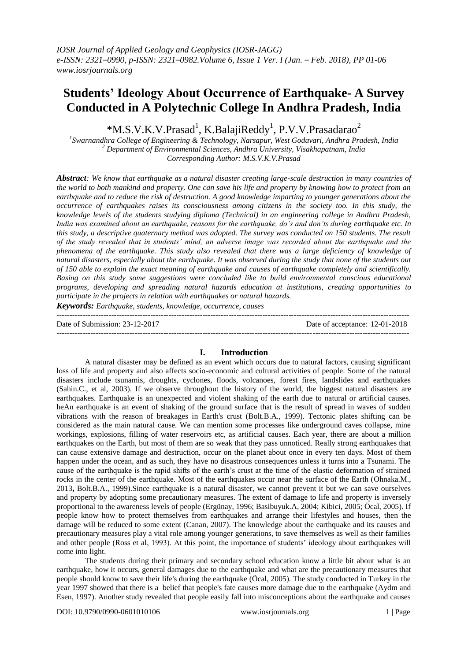# **Students' Ideology About Occurrence of Earthquake- A Survey Conducted in A Polytechnic College In Andhra Pradesh, India**

\*M.S.V.K.V.Prasad<sup>1</sup>, K.BalajiReddy<sup>1</sup>, P.V.V.Prasadarao<sup>2</sup>

*1 Swarnandhra College of Engineering & Technology, Narsapur, West Godavari, Andhra Pradesh, India <sup>2</sup> Department of Environmental Sciences, Andhra University, Visakhapatnam, India Corresponding Author: M.S.V.K.V.Prasad*

*Abstract: We know that earthquake as a natural disaster creating large-scale destruction in many countries of the world to both mankind and property. One can save his life and property by knowing how to protect from an earthquake and to reduce the risk of destruction. A good knowledge imparting to younger generations about the occurrence of earthquakes raises its consciousness among citizens in the society too. In this study, the knowledge levels of the students studying diploma (Technical) in an engineering college in Andhra Pradesh, India was examined about an earthquake, reasons for the earthquake, do's and don'ts during earthquake etc. In this study, a descriptive quaternary method was adopted. The survey was conducted on 150 students. The result of the study revealed that in students' mind, an adverse image was recorded about the earthquake and the phenomena of the earthquake. This study also revealed that there was a large deficiency of knowledge of natural disasters, especially about the earthquake. It was observed during the study that none of the students out of 150 able to explain the exact meaning of earthquake and causes of earthquake completely and scientifically. Basing on this study some suggestions were concluded like to build environmental conscious educational programs, developing and spreading natural hazards education at institutions, creating opportunities to participate in the projects in relation with earthquakes or natural hazards.*

*Keywords: Earthquake, students, knowledge, occurrence, causes* ---------------------------------------------------------------------------------------------------------------------------------------

Date of Submission: 23-12-2017 Date of acceptance: 12-01-2018

---------------------------------------------------------------------------------------------------------------------------------------

# **I. Introduction**

A natural disaster may be defined as an event which occurs due to natural factors, causing significant loss of life and property and also affects socio-economic and cultural activities of people. Some of the natural disasters include tsunamis, droughts, cyclones, floods, volcanoes, forest fires, landslides and earthquakes (Sahin.C., et al, 2003). If we observe throughout the history of the world, the biggest natural disasters are earthquakes. Earthquake is an unexpected and violent shaking of the earth due to natural or artificial causes. heAn earthquake is an event of shaking of the ground surface that is the result of spread in waves of sudden vibrations with the reason of breakages in Earth's crust (Bolt.B.A., 1999). Tectonic plates shifting can be considered as the main natural cause. We can mention some processes like underground caves collapse, mine workings, explosions, filling of water reservoirs etc, as artificial causes. Each year, there are about a million earthquakes on the Earth, but most of them are so weak that they pass unnoticed. Really strong earthquakes that can cause extensive damage and destruction, occur on the planet about once in every ten days. Most of them happen under the ocean, and as such, they have no disastrous consequences unless it turns into a Tsunami. The cause of the earthquake is the rapid shifts of the earth"s crust at the time of the elastic deformation of strained rocks in the center of the earthquake. Most of the earthquakes occur near the surface of the Earth (Ohnaka.M., 2013**,** Bolt.B.A., 1999).Since earthquake is a natural disaster, we cannot prevent it but we can save ourselves and property by adopting some precautionary measures. The extent of damage to life and property is inversely proportional to the awareness levels of people (Ergünay, 1996; Basibuyuk.A, 2004; Kibici, 2005; Öcal, 2005). If people know how to protect themselves from earthquakes and arrange their lifestyles and houses, then the damage will be reduced to some extent (Canan, 2007). The knowledge about the earthquake and its causes and precautionary measures play a vital role among younger generations, to save themselves as well as their families and other people (Ross et al, 1993). At this point, the importance of students" ideology about earthquakes will come into light.

The students during their primary and secondary school education know a little bit about what is an earthquake, how it occurs, general damages due to the earthquake and what are the precautionary measures that people should know to save their life's during the earthquake (Öcal, 2005). The study conducted in Turkey in the year 1997 showed that there is a belief that people's fate causes more damage due to the earthquake (Aydm and Esen, 1997). Another study revealed that people easily fall into misconceptions about the earthquake and causes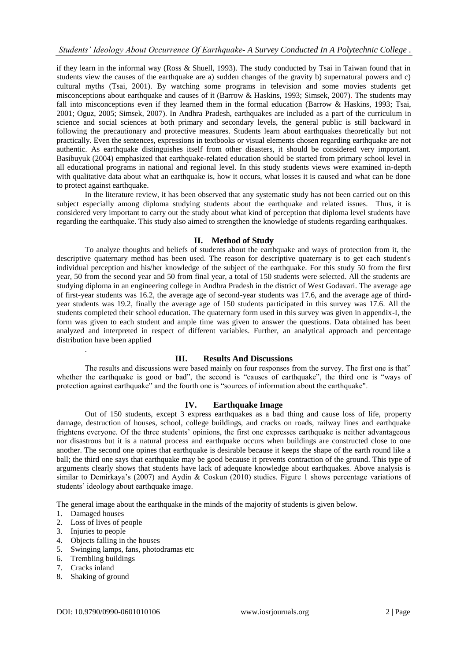if they learn in the informal way (Ross & Shuell, 1993). The study conducted by Tsai in Taiwan found that in students view the causes of the earthquake are a) sudden changes of the gravity b) supernatural powers and c) cultural myths (Tsai, 2001). By watching some programs in television and some movies students get misconceptions about earthquake and causes of it (Barrow & Haskins, 1993; Simsek, 2007). The students may fall into misconceptions even if they learned them in the formal education (Barrow & Haskins, 1993; Tsai, 2001; Oguz, 2005; Simsek, 2007). In Andhra Pradesh, earthquakes are included as a part of the curriculum in science and social sciences at both primary and secondary levels, the general public is still backward in following the precautionary and protective measures. Students learn about earthquakes theoretically but not practically. Even the sentences, expressions in textbooks or visual elements chosen regarding earthquake are not authentic. As earthquake distinguishes itself from other disasters, it should be considered very important. Basibuyuk (2004) emphasized that earthquake-related education should be started from primary school level in all educational programs in national and regional level. In this study students views were examined in-depth with qualitative data about what an earthquake is, how it occurs, what losses it is caused and what can be done to protect against earthquake.

In the literature review, it has been observed that any systematic study has not been carried out on this subject especially among diploma studying students about the earthquake and related issues. Thus, it is considered very important to carry out the study about what kind of perception that diploma level students have regarding the earthquake. This study also aimed to strengthen the knowledge of students regarding earthquakes.

## **II. Method of Study**

To analyze thoughts and beliefs of students about the earthquake and ways of protection from it, the descriptive quaternary method has been used. The reason for descriptive quaternary is to get each student's individual perception and his/her knowledge of the subject of the earthquake. For this study 50 from the first year, 50 from the second year and 50 from final year, a total of 150 students were selected. All the students are studying diploma in an engineering college in Andhra Pradesh in the district of West Godavari. The average age of first-year students was 16.2, the average age of second-year students was 17.6, and the average age of thirdyear students was 19.2, finally the average age of 150 students participated in this survey was 17.6. All the students completed their school education. The quaternary form used in this survey was given in appendix-I, the form was given to each student and ample time was given to answer the questions. Data obtained has been analyzed and interpreted in respect of different variables. Further, an analytical approach and percentage distribution have been applied

## **III. Results And Discussions**

The results and discussions were based mainly on four responses from the survey. The first one is that" whether the earthquake is good or bad", the second is "causes of earthquake", the third one is "ways of protection against earthquake" and the fourth one is "sources of information about the earthquake".

# **IV. Earthquake Image**

Out of 150 students, except 3 express earthquakes as a bad thing and cause loss of life, property damage, destruction of houses, school, college buildings, and cracks on roads, railway lines and earthquake frightens everyone. Of the three students" opinions, the first one expresses earthquake is neither advantageous nor disastrous but it is a natural process and earthquake occurs when buildings are constructed close to one another. The second one opines that earthquake is desirable because it keeps the shape of the earth round like a ball; the third one says that earthquake may be good because it prevents contraction of the ground. This type of arguments clearly shows that students have lack of adequate knowledge about earthquakes. Above analysis is similar to Demirkaya"s (2007) and Aydin & Coskun (2010) studies. Figure 1 shows percentage variations of students' ideology about earthquake image.

The general image about the earthquake in the minds of the majority of students is given below.

1. Damaged houses

.

- 2. Loss of lives of people
- 3. Injuries to people
- 4. Objects falling in the houses
- 5. Swinging lamps, fans, photodramas etc
- 6. Trembling buildings
- 7. Cracks inland
- 8. Shaking of ground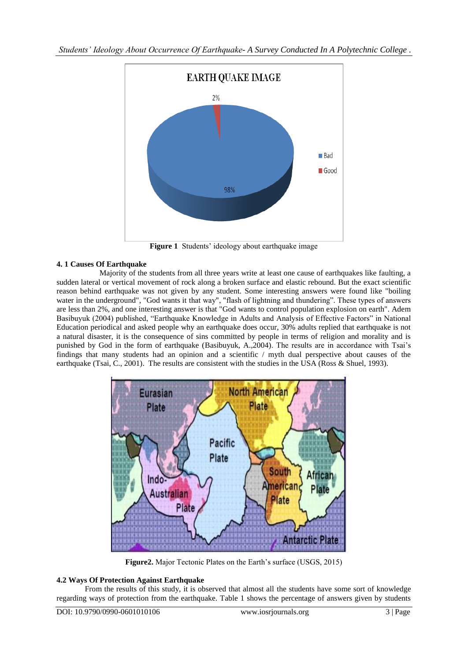

**Figure 1** Students' ideology about earthquake image

# **4. 1 Causes Of Earthquake**

Majority of the students from all three years write at least one cause of earthquakes like faulting, a sudden lateral or vertical movement of rock along a broken surface and elastic rebound. But the exact scientific reason behind earthquake was not given by any student. Some interesting answers were found like "boiling water in the underground", "God wants it that way", "flash of lightning and thundering". These types of answers are less than 2%, and one interesting answer is that "God wants to control population explosion on earth". Adem Basibuyuk (2004) published, "Earthquake Knowledge in Adults and Analysis of Effective Factors" in National Education periodical and asked people why an earthquake does occur, 30% adults replied that earthquake is not a natural disaster, it is the consequence of sins committed by people in terms of religion and morality and is punished by God in the form of earthquake (Basibuyuk, A.,2004). The results are in accordance with Tsai's findings that many students had an opinion and a scientific / myth dual perspective about causes of the earthquake (Tsai, C., 2001). The results are consistent with the studies in the USA (Ross & Shuel, 1993).



Figure2. Major Tectonic Plates on the Earth's surface (USGS, 2015)

# **4.2 Ways Of Protection Against Earthquake**

From the results of this study, it is observed that almost all the students have some sort of knowledge regarding ways of protection from the earthquake. Table 1 shows the percentage of answers given by students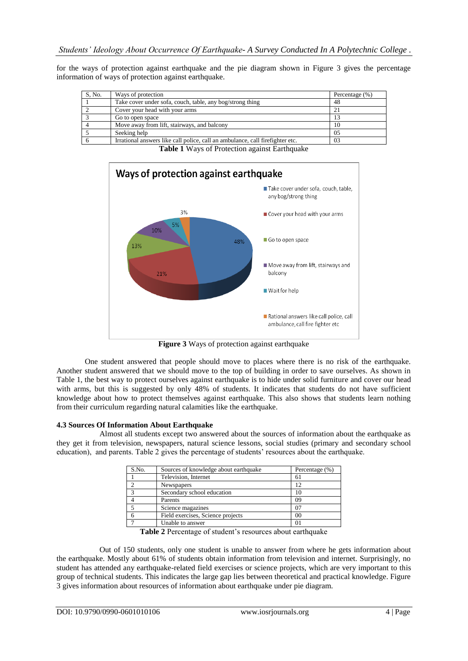for the ways of protection against earthquake and the pie diagram shown in Figure 3 gives the percentage information of ways of protection against earthquake.

| S, No. | Ways of protection                                                            | Percentage (%) |
|--------|-------------------------------------------------------------------------------|----------------|
|        | Take cover under sofa, couch, table, any bog/strong thing                     | 48             |
|        | Cover your head with your arms                                                |                |
|        | Go to open space                                                              |                |
|        | Move away from lift, stairways, and balcony                                   | 10             |
|        | Seeking help                                                                  | 05             |
|        | Irrational answers like call police, call an ambulance, call firefighter etc. | 03             |

Ways of protection against earthquake Take cover under sofa, couch, table, any bog/strong thing 3% Cover your head with your arms 10% Go to open space 48% 13% Move away from lift, stairways and balcony 21% Wait for help Rational answers like call police, call ambulance, call fire fighter etc

**Table 1** Ways of Protection against Earthquake

**Figure 3** Ways of protection against earthquake

One student answered that people should move to places where there is no risk of the earthquake. Another student answered that we should move to the top of building in order to save ourselves. As shown in Table 1, the best way to protect ourselves against earthquake is to hide under solid furniture and cover our head with arms, but this is suggested by only 48% of students. It indicates that students do not have sufficient knowledge about how to protect themselves against earthquake. This also shows that students learn nothing from their curriculum regarding natural calamities like the earthquake.

## **4.3 Sources Of Information About Earthquake**

Almost all students except two answered about the sources of information about the earthquake as they get it from television, newspapers, natural science lessons, social studies (primary and secondary school education), and parents. Table 2 gives the percentage of students" resources about the earthquake.

| S.No. | Sources of knowledge about earthquake | Percentage (%) |
|-------|---------------------------------------|----------------|
|       | Television, Internet                  | 61             |
|       | <b>Newspapers</b>                     | 12             |
|       | Secondary school education            | 10             |
|       | Parents                               | 09             |
|       | Science magazines                     | 07             |
|       | Field exercises, Science projects     | 00             |
|       | Unable to answer                      | 01             |

Table 2 Percentage of student's resources about earthquake

Out of 150 students, only one student is unable to answer from where he gets information about the earthquake. Mostly about 61% of students obtain information from television and internet. Surprisingly, no student has attended any earthquake-related field exercises or science projects, which are very important to this group of technical students. This indicates the large gap lies between theoretical and practical knowledge. Figure 3 gives information about resources of information about earthquake under pie diagram.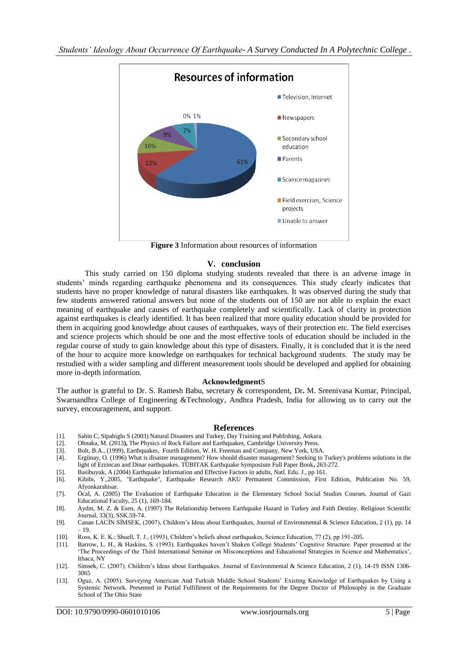

**Figure 3** Information about resources of information

## **V. conclusion**

This study carried on 150 diploma studying students revealed that there is an adverse image in students" minds regarding earthquake phenomena and its consequences. This study clearly indicates that students have no proper knowledge of natural disasters like earthquakes. It was observed during the study that few students answered rational answers but none of the students out of 150 are not able to explain the exact meaning of earthquake and causes of earthquake completely and scientifically. Lack of clarity in protection against earthquakes is clearly identified. It has been realized that more quality education should be provided for them in acquiring good knowledge about causes of earthquakes, ways of their protection etc. The field exercises and science projects which should be one and the most effective tools of education should be included in the regular course of study to gain knowledge about this type of disasters. Finally, it is concluded that it is the need of the hour to acquire more knowledge on earthquakes for technical background students. The study may be restudied with a wider sampling and different measurement tools should be developed and applied for obtaining more in-depth information.

## **Acknowledgment**S

The author is grateful to Dr. S. Ramesh Babu, secretary & correspondent, Dr**.** M. Sreenivasa Kumar, Principal, Swarnandhra College of Engineering &Technology, Andhra Pradesh, India for allowing us to carry out the survey, encouragement, and support.

#### **References**

- [1]. Sahin C, Sipahiglu S (2003) Natural Disasters and Turkey, Day Training and Publishing, Ankara.
- [2]. Ohnaka, M. (2013**),** The Physics of Rock Failure and Earthquakes, Cambridge University Press.
- [3]. Bolt, B.A., (1999), Earthquakes, Fourth Edition, W. H. Freeman and Company, New York, USA. [4]. Ergünay, O. (1996) What is disaster management? How should disaster management? Seeking to
- Ergünay, O. (1996) What is disaster management? How should disaster management? Seeking to Turkey's problems solutions in the light of Erzincan and Dinar earthquakes. TÜBITAK Earthquake Symposium Full Paper Book**,** 263-272.
- [5]. Basibuyuk, A (2004) Earthquake Information and Effective Factors in adults, Natl. Edu. J., pp 161.
- [6]. Kibibi, Y.,2005, "Earthquake", Earthquake Research AKU Permanent Commission, First Edition, Publication No. 59, Afyonkarahisar.
- [7]. Öcal, A. (2005) The Evaluation of Earthquake Education in the Elementary School Social Studies Courses. Journal of Gazi Educational Faculty, 25 (1), 169-184.
- [8]. Aydm, M. Z. & Esen, A. (1997) The Relationship between Earthquake Hazard in Turkey and Faith Destiny. Religious Scientific Journal, 33(3), SSK.59-74.
- [9]. Canan LACİN SİMSEK, (2007), Children"s Ideas about Earthquakes, Journal of Environmental & Science Education, 2 (1), pp. 14 – 19.
- [10]. Ross, K. E. K.; Shuell, T. J., (1993), Children's beliefs about earthquakes, Science Education, 77 (2), pp 191-205.<br>[11]. Barrow, L. H., & Haskins, S. (1993). Earthquakes haven't Shaken College Students' Cognitive St
- Barrow, L. H., & Haskins, S. (1993). Earthquakes haven't Shaken College Students' Cognitive Structure. Paper presented at the "The Proceedings of the Third International Seminar on Misconceptions and Educational Strategies in Science and Mathematics", Ithaca, NY
- [12]. Simsek, C. (2007). Children"s Ideas about Earthquakes. Journal of Environmental & Science Education, 2 (1), 14-19 ISSN 1306- 3065
- [13]. Oguz, A. (2005). Surveying American And Turkish Middle School Students" Existing Knowledge of Earthquakes by Using a Systemic Network. Presented in Partial Fulfillment of the Requirements for the Degree Doctor of Philosophy in the Graduate School of The Ohio State